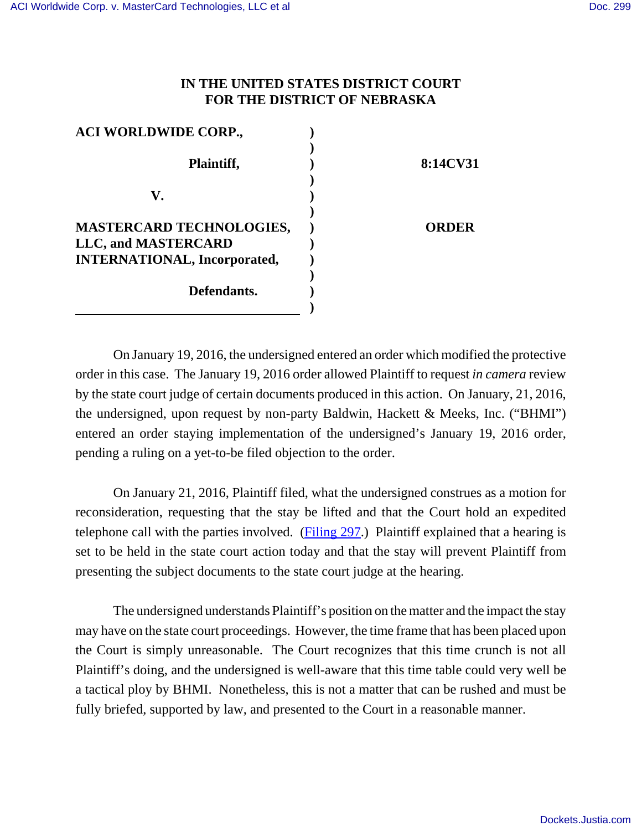## **IN THE UNITED STATES DISTRICT COURT FOR THE DISTRICT OF NEBRASKA**

| <b>ACI WORLDWIDE CORP.,</b>         |          |
|-------------------------------------|----------|
| Plaintiff,                          | 8:14CV31 |
| V.                                  |          |
|                                     |          |
| <b>MASTERCARD TECHNOLOGIES,</b>     | ORDER    |
| LLC, and MASTERCARD                 |          |
| <b>INTERNATIONAL, Incorporated,</b> |          |
|                                     |          |
| Defendants.                         |          |
|                                     |          |

On January 19, 2016, the undersigned entered an order which modified the protective order in this case. The January 19, 2016 order allowed Plaintiff to request *in camera* review by the state court judge of certain documents produced in this action. On January, 21, 2016, the undersigned, upon request by non-party Baldwin, Hackett & Meeks, Inc. ("BHMI") entered an order staying implementation of the undersigned's January 19, 2016 order, pending a ruling on a yet-to-be filed objection to the order.

On January 21, 2016, Plaintiff filed, what the undersigned construes as a motion for reconsideration, requesting that the stay be lifted and that the Court hold an expedited telephone call with the parties involved. (Filing 297.) Plaintiff explained that a hearing is set to be held in the state court action today and that the stay will prevent Plaintiff from presenting the subject documents to the state court judge at the hearing.

The undersigned understands Plaintiff's position on the matter and the impact the stay may have on the state court proceedings. However, the time frame that has been placed upon the Court is simply unreasonable. The Court recognizes that this time crunch is not all Plaintiff's doing, and the undersigned is well-aware that this time table could very well be a tactical ploy by BHMI. Nonetheless, this is not a matter that can be rushed and must be fully briefed, supported by law, and presented to the Court in a reasonable manner.